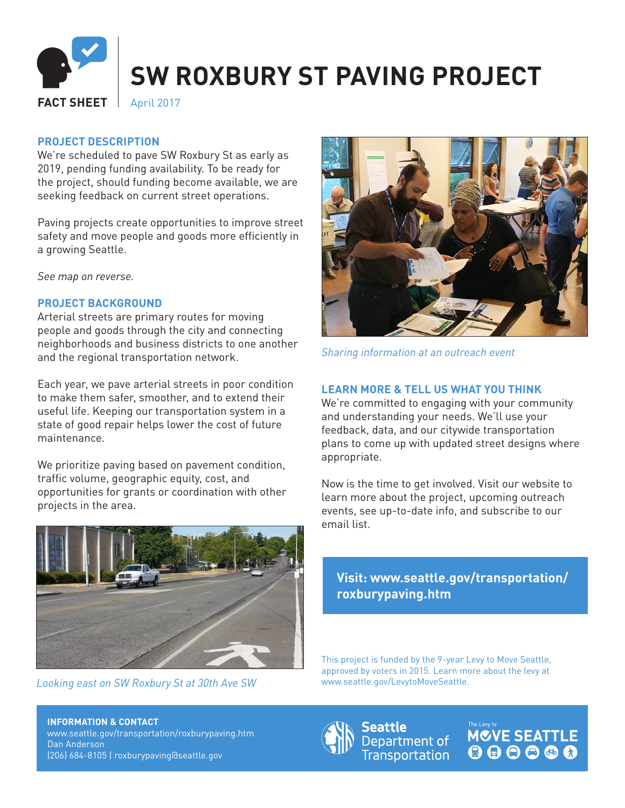

# **SW ROXBURY ST PAVING PROJECT**

**FACT SHEET** | April 2017

### **PROJECT DESCRIPTION**

We're scheduled to pave SW Roxbury St as early as 2019, pending funding availability. To be ready for the project, should funding become available, we are seeking feedback on current street operations.

Paving projects create opportunities to improve street safety and move people and goods more efficiently in a growing Seattle.

*See map on reverse.*

#### **PROJECT BACKGROUND**

Arterial streets are primary routes for moving people and goods through the city and connecting neighborhoods and business districts to one another and the regional transportation network.

Each year, we pave arterial streets in poor condition to make them safer, smoother, and to extend their useful life. Keeping our transportation system in a state of good repair helps lower the cost of future maintenance.

We prioritize paving based on pavement condition, traffic volume, geographic equity, cost, and opportunities for grants or coordination with other projects in the area.



 *Looking east on SW Roxbury St at 30th Ave SW*



*Sharing information at an outreach event*

## **LEARN MORE & TELL US WHAT YOU THINK**

We're committed to engaging with your community and understanding your needs. We'll use your feedback, data, and our citywide transportation plans to come up with updated street designs where appropriate.

Now is the time to get involved. Visit our website to learn more about the project, upcoming outreach events, see up-to-date info, and subscribe to our email list.

# **Visit: www.seattle.gov/transportation/ roxburypaving.htm**

This project is funded by the 9-year Levy to Move Seattle, approved by voters in 2015. Learn more about the levy at www.seattle.gov/LevytoMoveSeattle.

**INFORMATION & CONTACT** www.seattle.gov/transportation/roxburypaving.htm Dan Anderson (206) 684-8105 | roxburypaving@seattle.gov



Seattle Department of **Transportation** 

**MOVE SEATTLE** 000000